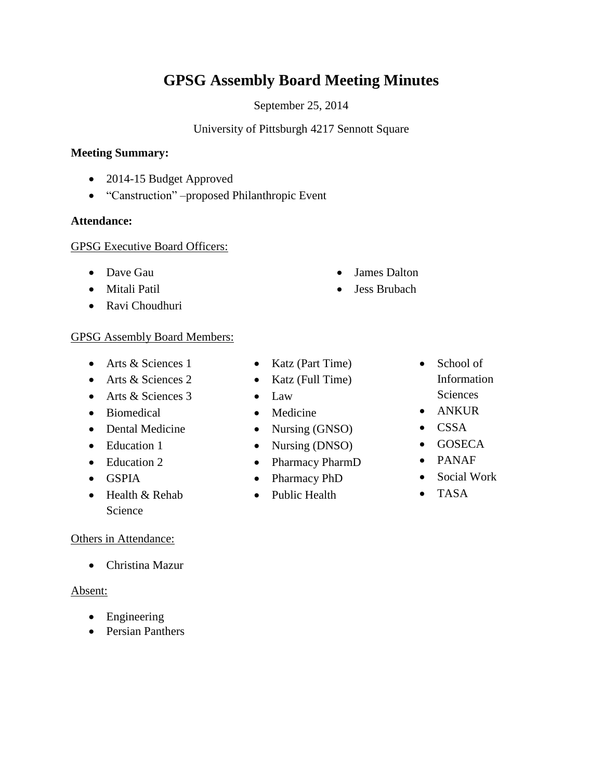# **GPSG Assembly Board Meeting Minutes**

September 25, 2014

# University of Pittsburgh 4217 Sennott Square

#### **Meeting Summary:**

- 2014-15 Budget Approved
- "Canstruction" –proposed Philanthropic Event

## **Attendance:**

## GPSG Executive Board Officers:

- Dave Gau
- Mitali Patil
- Ravi Choudhuri

## GPSG Assembly Board Members:

- Arts & Sciences 1
- Arts & Sciences 2
- Arts & Sciences 3
- Biomedical
- Dental Medicine
- Education 1
- Education 2
- $\bullet$  GSPIA
- Health & Rehab Science

## Others in Attendance:

Christina Mazur

## Absent:

- Engineering
- Persian Panthers
- Katz (Part Time)
- $\bullet$  Katz (Full Time)
- Law
- Medicine
- Nursing (GNSO)
- Nursing (DNSO)
- Pharmacy PharmD
- Pharmacy PhD
- Public Health
- School of Information **Sciences**
- ANKUR
- CSSA
- GOSECA
- PANAF
- Social Work
- TASA
- 
- 
- James Dalton
- Jess Brubach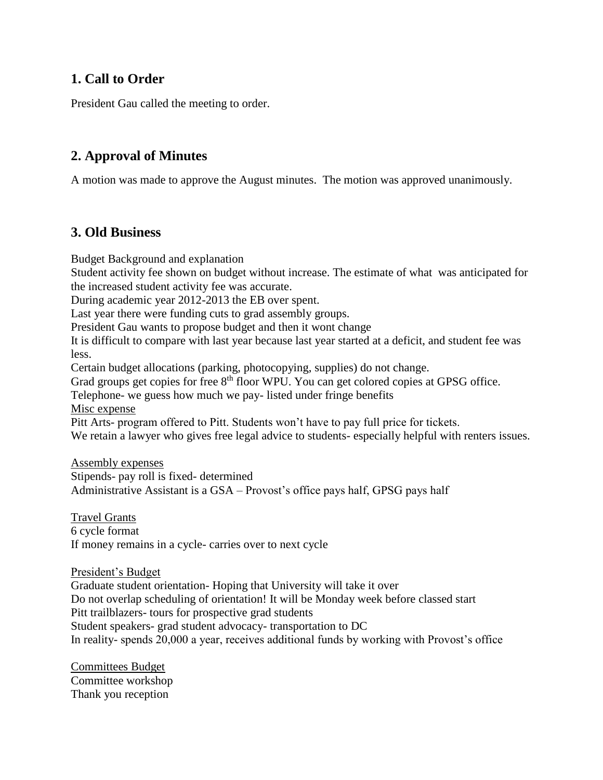# **1. Call to Order**

President Gau called the meeting to order.

# **2. Approval of Minutes**

A motion was made to approve the August minutes. The motion was approved unanimously.

# **3. Old Business**

Budget Background and explanation

Student activity fee shown on budget without increase. The estimate of what was anticipated for the increased student activity fee was accurate.

During academic year 2012-2013 the EB over spent.

Last year there were funding cuts to grad assembly groups.

President Gau wants to propose budget and then it wont change

It is difficult to compare with last year because last year started at a deficit, and student fee was less.

Certain budget allocations (parking, photocopying, supplies) do not change.

Grad groups get copies for free 8<sup>th</sup> floor WPU. You can get colored copies at GPSG office.

Telephone- we guess how much we pay- listed under fringe benefits

Misc expense

Pitt Arts- program offered to Pitt. Students won't have to pay full price for tickets.

We retain a lawyer who gives free legal advice to students- especially helpful with renters issues.

Assembly expenses

Stipends- pay roll is fixed- determined Administrative Assistant is a GSA – Provost's office pays half, GPSG pays half

Travel Grants 6 cycle format If money remains in a cycle- carries over to next cycle

President's Budget

Graduate student orientation- Hoping that University will take it over Do not overlap scheduling of orientation! It will be Monday week before classed start Pitt trailblazers- tours for prospective grad students Student speakers- grad student advocacy- transportation to DC In reality- spends 20,000 a year, receives additional funds by working with Provost's office

Committees Budget Committee workshop Thank you reception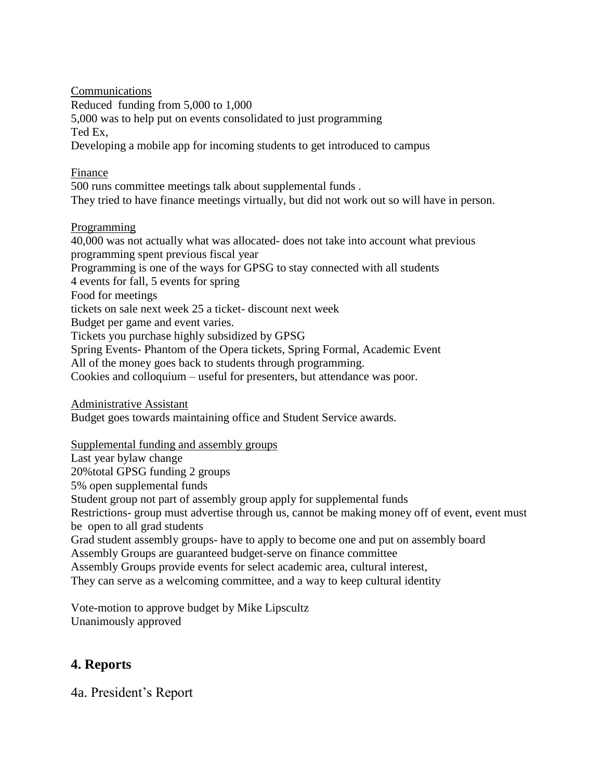**Communications** Reduced funding from 5,000 to 1,000 5,000 was to help put on events consolidated to just programming Ted Ex, Developing a mobile app for incoming students to get introduced to campus

# Finance

500 runs committee meetings talk about supplemental funds . They tried to have finance meetings virtually, but did not work out so will have in person.

# **Programming**

40,000 was not actually what was allocated- does not take into account what previous programming spent previous fiscal year Programming is one of the ways for GPSG to stay connected with all students 4 events for fall, 5 events for spring Food for meetings tickets on sale next week 25 a ticket- discount next week Budget per game and event varies. Tickets you purchase highly subsidized by GPSG Spring Events- Phantom of the Opera tickets, Spring Formal, Academic Event All of the money goes back to students through programming. Cookies and colloquium – useful for presenters, but attendance was poor.

Administrative Assistant Budget goes towards maintaining office and Student Service awards.

Supplemental funding and assembly groups

Last year bylaw change 20%total GPSG funding 2 groups 5% open supplemental funds Student group not part of assembly group apply for supplemental funds Restrictions- group must advertise through us, cannot be making money off of event, event must be open to all grad students Grad student assembly groups- have to apply to become one and put on assembly board Assembly Groups are guaranteed budget-serve on finance committee Assembly Groups provide events for select academic area, cultural interest, They can serve as a welcoming committee, and a way to keep cultural identity

Vote-motion to approve budget by Mike Lipscultz Unanimously approved

# **4. Reports**

4a. President's Report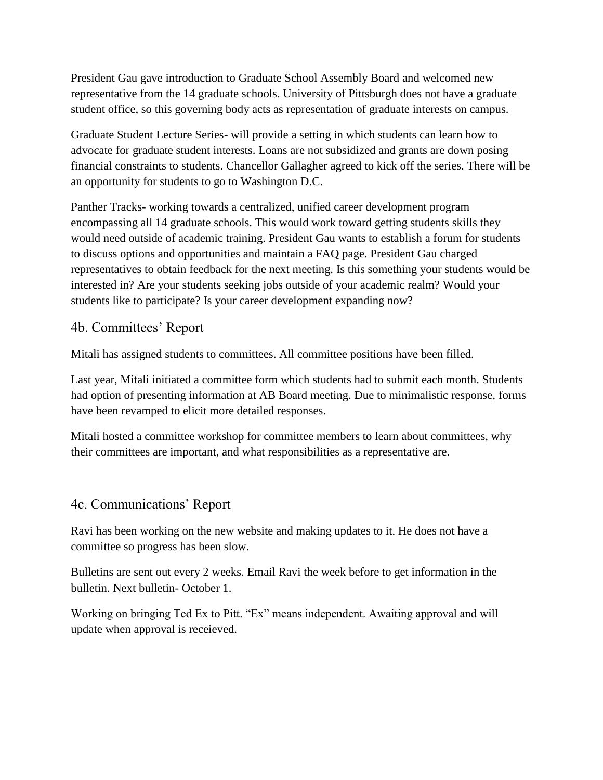President Gau gave introduction to Graduate School Assembly Board and welcomed new representative from the 14 graduate schools. University of Pittsburgh does not have a graduate student office, so this governing body acts as representation of graduate interests on campus.

Graduate Student Lecture Series- will provide a setting in which students can learn how to advocate for graduate student interests. Loans are not subsidized and grants are down posing financial constraints to students. Chancellor Gallagher agreed to kick off the series. There will be an opportunity for students to go to Washington D.C.

Panther Tracks- working towards a centralized, unified career development program encompassing all 14 graduate schools. This would work toward getting students skills they would need outside of academic training. President Gau wants to establish a forum for students to discuss options and opportunities and maintain a FAQ page. President Gau charged representatives to obtain feedback for the next meeting. Is this something your students would be interested in? Are your students seeking jobs outside of your academic realm? Would your students like to participate? Is your career development expanding now?

# 4b. Committees' Report

Mitali has assigned students to committees. All committee positions have been filled.

Last year, Mitali initiated a committee form which students had to submit each month. Students had option of presenting information at AB Board meeting. Due to minimalistic response, forms have been revamped to elicit more detailed responses.

Mitali hosted a committee workshop for committee members to learn about committees, why their committees are important, and what responsibilities as a representative are.

# 4c. Communications' Report

Ravi has been working on the new website and making updates to it. He does not have a committee so progress has been slow.

Bulletins are sent out every 2 weeks. Email Ravi the week before to get information in the bulletin. Next bulletin- October 1.

Working on bringing Ted Ex to Pitt. "Ex" means independent. Awaiting approval and will update when approval is receieved.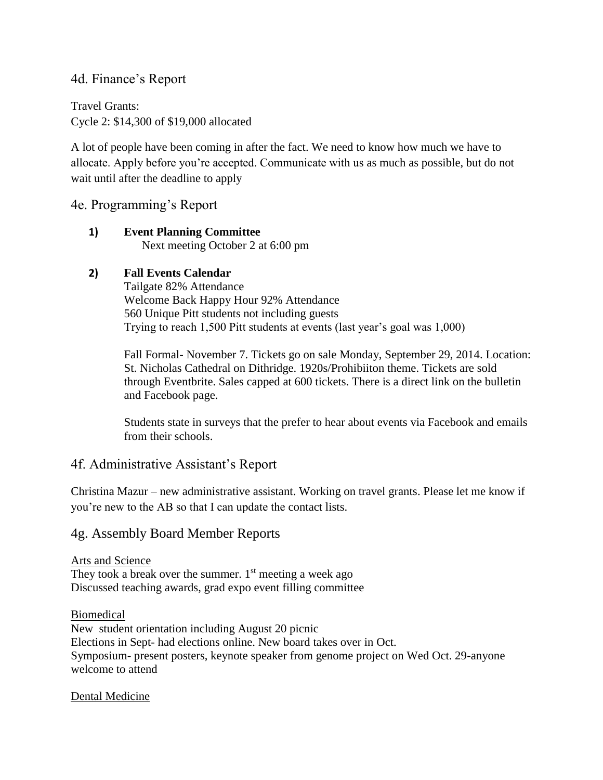# 4d. Finance's Report

Travel Grants: Cycle 2: \$14,300 of \$19,000 allocated

A lot of people have been coming in after the fact. We need to know how much we have to allocate. Apply before you're accepted. Communicate with us as much as possible, but do not wait until after the deadline to apply

4e. Programming's Report

#### **1) Event Planning Committee**  Next meeting October 2 at 6:00 pm

# **2) Fall Events Calendar**

Tailgate 82% Attendance Welcome Back Happy Hour 92% Attendance 560 Unique Pitt students not including guests Trying to reach 1,500 Pitt students at events (last year's goal was 1,000)

Fall Formal- November 7. Tickets go on sale Monday, September 29, 2014. Location: St. Nicholas Cathedral on Dithridge. 1920s/Prohibiiton theme. Tickets are sold through Eventbrite. Sales capped at 600 tickets. There is a direct link on the bulletin and Facebook page.

Students state in surveys that the prefer to hear about events via Facebook and emails from their schools.

# 4f. Administrative Assistant's Report

Christina Mazur – new administrative assistant. Working on travel grants. Please let me know if you're new to the AB so that I can update the contact lists.

# 4g. Assembly Board Member Reports

Arts and Science They took a break over the summer.  $1<sup>st</sup>$  meeting a week ago Discussed teaching awards, grad expo event filling committee

Biomedical New student orientation including August 20 picnic Elections in Sept- had elections online. New board takes over in Oct. Symposium- present posters, keynote speaker from genome project on Wed Oct. 29-anyone welcome to attend

Dental Medicine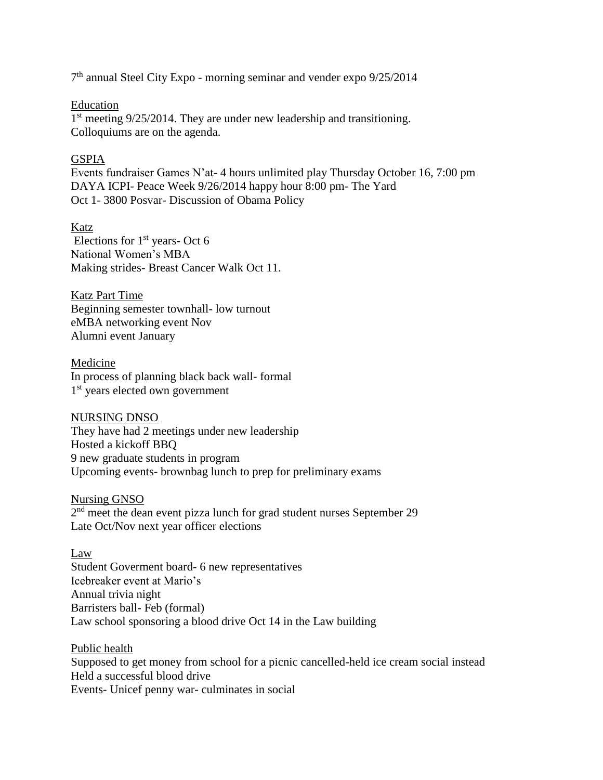7 th annual Steel City Expo - morning seminar and vender expo 9/25/2014

#### Education

1<sup>st</sup> meeting 9/25/2014. They are under new leadership and transitioning. Colloquiums are on the agenda.

#### GSPIA

Events fundraiser Games N'at- 4 hours unlimited play Thursday October 16, 7:00 pm DAYA ICPI- Peace Week 9/26/2014 happy hour 8:00 pm- The Yard Oct 1- 3800 Posvar- Discussion of Obama Policy

Katz Elections for  $1<sup>st</sup>$  years- Oct 6 National Women's MBA Making strides- Breast Cancer Walk Oct 11.

Katz Part Time Beginning semester townhall- low turnout eMBA networking event Nov Alumni event January

Medicine In process of planning black back wall- formal 1<sup>st</sup> years elected own government

#### NURSING DNSO

They have had 2 meetings under new leadership Hosted a kickoff BBQ 9 new graduate students in program Upcoming events- brownbag lunch to prep for preliminary exams

Nursing GNSO  $2<sup>nd</sup>$  meet the dean event pizza lunch for grad student nurses September 29 Late Oct/Nov next year officer elections

Law Student Goverment board- 6 new representatives Icebreaker event at Mario's Annual trivia night Barristers ball- Feb (formal) Law school sponsoring a blood drive Oct 14 in the Law building

Public health Supposed to get money from school for a picnic cancelled-held ice cream social instead Held a successful blood drive Events- Unicef penny war- culminates in social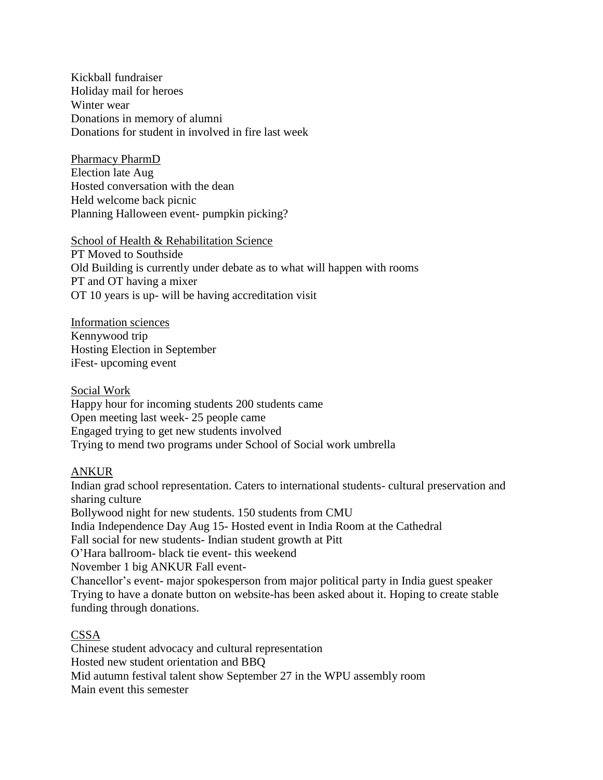Kickball fundraiser Holiday mail for heroes Winter wear Donations in memory of alumni Donations for student in involved in fire last week

Pharmacy PharmD Election late Aug Hosted conversation with the dean Held welcome back picnic Planning Halloween event- pumpkin picking?

School of Health & Rehabilitation Science PT Moved to Southside Old Building is currently under debate as to what will happen with rooms PT and OT having a mixer OT 10 years is up- will be having accreditation visit

Information sciences Kennywood trip Hosting Election in September iFest- upcoming event

Social Work Happy hour for incoming students 200 students came Open meeting last week- 25 people came Engaged trying to get new students involved Trying to mend two programs under School of Social work umbrella

## ANKUR

Indian grad school representation. Caters to international students- cultural preservation and sharing culture Bollywood night for new students. 150 students from CMU India Independence Day Aug 15- Hosted event in India Room at the Cathedral Fall social for new students- Indian student growth at Pitt O'Hara ballroom- black tie event- this weekend November 1 big ANKUR Fall event-Chancellor's event- major spokesperson from major political party in India guest speaker Trying to have a donate button on website-has been asked about it. Hoping to create stable funding through donations.

#### CSSA

Chinese student advocacy and cultural representation Hosted new student orientation and BBQ Mid autumn festival talent show September 27 in the WPU assembly room Main event this semester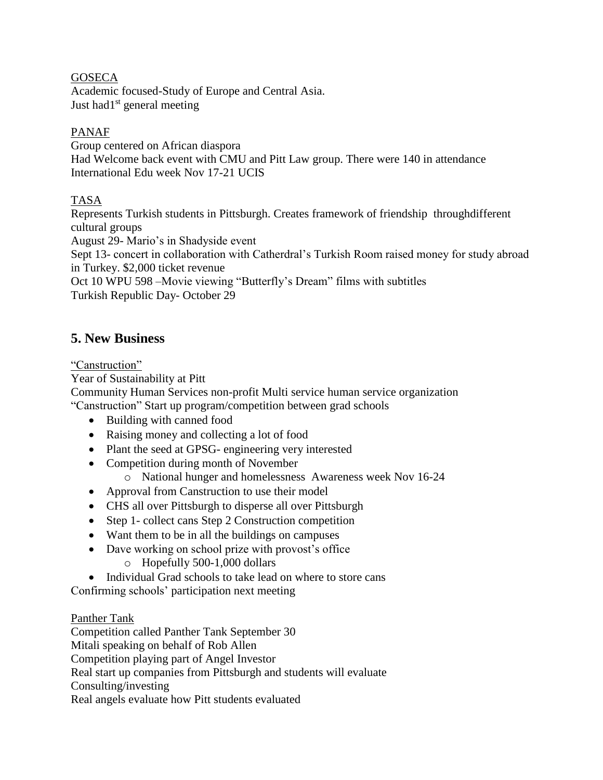## **GOSECA**

Academic focused-Study of Europe and Central Asia. Just had $1<sup>st</sup>$  general meeting

## PANAF

Group centered on African diaspora Had Welcome back event with CMU and Pitt Law group. There were 140 in attendance International Edu week Nov 17-21 UCIS

# TASA

Represents Turkish students in Pittsburgh. Creates framework of friendship throughdifferent cultural groups

August 29- Mario's in Shadyside event

Sept 13- concert in collaboration with Catherdral's Turkish Room raised money for study abroad in Turkey. \$2,000 ticket revenue

Oct 10 WPU 598 –Movie viewing "Butterfly's Dream" films with subtitles Turkish Republic Day- October 29

# **5. New Business**

#### "Canstruction"

Year of Sustainability at Pitt

Community Human Services non-profit Multi service human service organization "Canstruction" Start up program/competition between grad schools

- Building with canned food
- Raising money and collecting a lot of food
- Plant the seed at GPSG- engineering very interested
- Competition during month of November
	- o National hunger and homelessness Awareness week Nov 16-24
- Approval from Canstruction to use their model
- CHS all over Pittsburgh to disperse all over Pittsburgh
- Step 1- collect cans Step 2 Construction competition
- Want them to be in all the buildings on campuses
- Dave working on school prize with provost's office
	- o Hopefully 500-1,000 dollars
- Individual Grad schools to take lead on where to store cans

Confirming schools' participation next meeting

## Panther Tank

Competition called Panther Tank September 30 Mitali speaking on behalf of Rob Allen Competition playing part of Angel Investor Real start up companies from Pittsburgh and students will evaluate Consulting/investing Real angels evaluate how Pitt students evaluated